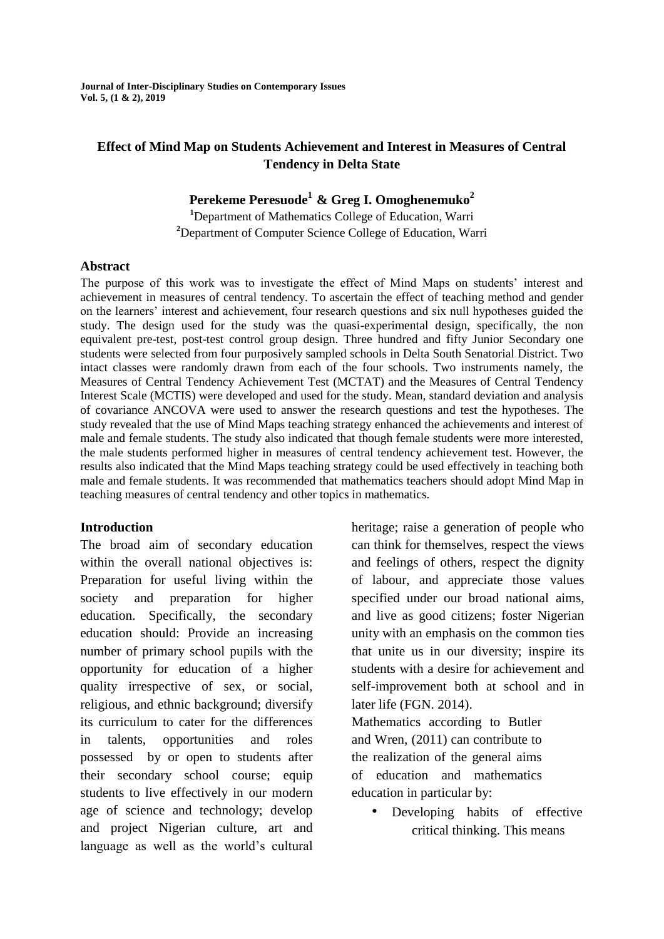**Journal of Inter-Disciplinary Studies on Contemporary Issues Vol. 5, (1 & 2), 2019**

# **Effect of Mind Map on Students Achievement and Interest in Measures of Central Tendency in Delta State**

# **Perekeme Peresuode<sup>1</sup>& Greg I. Omoghenemuko<sup>2</sup>**

**<sup>1</sup>**Department of Mathematics College of Education, Warri **<sup>2</sup>**Department of Computer Science College of Education, Warri

#### **Abstract**

The purpose of this work was to investigate the effect of Mind Maps on students' interest and achievement in measures of central tendency. To ascertain the effect of teaching method and gender on the learners' interest and achievement, four research questions and six null hypotheses guided the study. The design used for the study was the quasi-experimental design, specifically, the non equivalent pre-test, post-test control group design. Three hundred and fifty Junior Secondary one students were selected from four purposively sampled schools in Delta South Senatorial District. Two intact classes were randomly drawn from each of the four schools. Two instruments namely, the Measures of Central Tendency Achievement Test (MCTAT) and the Measures of Central Tendency Interest Scale (MCTIS) were developed and used for the study. Mean, standard deviation and analysis of covariance ANCOVA were used to answer the research questions and test the hypotheses. The study revealed that the use of Mind Maps teaching strategy enhanced the achievements and interest of male and female students. The study also indicated that though female students were more interested, the male students performed higher in measures of central tendency achievement test. However, the results also indicated that the Mind Maps teaching strategy could be used effectively in teaching both male and female students. It was recommended that mathematics teachers should adopt Mind Map in teaching measures of central tendency and other topics in mathematics.

#### **Introduction**

The broad aim of secondary education within the overall national objectives is: Preparation for useful living within the society and preparation for higher education. Specifically, the secondary education should: Provide an increasing number of primary school pupils with the opportunity for education of a higher quality irrespective of sex, or social, religious, and ethnic background; diversify its curriculum to cater for the differences in talents, opportunities and roles possessed by or open to students after their secondary school course; equip students to live effectively in our modern age of science and technology; develop and project Nigerian culture, art and language as well as the world's cultural

heritage; raise a generation of people who can think for themselves, respect the views and feelings of others, respect the dignity of labour, and appreciate those values specified under our broad national aims, and live as good citizens; foster Nigerian unity with an emphasis on the common ties that unite us in our diversity; inspire its students with a desire for achievement and self-improvement both at school and in later life (FGN. 2014).

Mathematics according to Butler and Wren, (2011) can contribute to the realization of the general aims of education and mathematics education in particular by:

• Developing habits of effective critical thinking. This means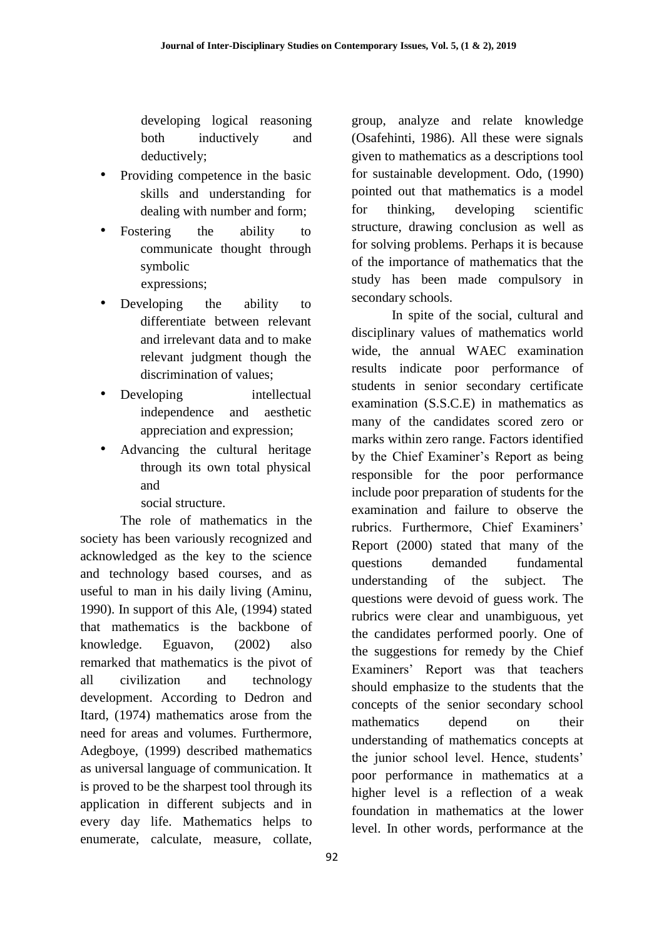developing logical reasoning both inductively and deductively;

- Providing competence in the basic skills and understanding for dealing with number and form;
- Fostering the ability to communicate thought through symbolic expressions;
- Developing the ability to differentiate between relevant and irrelevant data and to make relevant judgment though the discrimination of values;
- Developing intellectual independence and aesthetic appreciation and expression;
- Advancing the cultural heritage through its own total physical and

social structure.

The role of mathematics in the society has been variously recognized and acknowledged as the key to the science and technology based courses, and as useful to man in his daily living (Aminu, 1990). In support of this Ale, (1994) stated that mathematics is the backbone of knowledge. Eguavon, (2002) also remarked that mathematics is the pivot of all civilization and technology development. According to Dedron and Itard, (1974) mathematics arose from the need for areas and volumes. Furthermore, Adegboye, (1999) described mathematics as universal language of communication. It is proved to be the sharpest tool through its application in different subjects and in every day life. Mathematics helps to enumerate, calculate, measure, collate, group, analyze and relate knowledge (Osafehinti, 1986). All these were signals given to mathematics as a descriptions tool for sustainable development. Odo, (1990) pointed out that mathematics is a model for thinking, developing scientific structure, drawing conclusion as well as for solving problems. Perhaps it is because of the importance of mathematics that the study has been made compulsory in secondary schools.

In spite of the social, cultural and disciplinary values of mathematics world wide, the annual WAEC examination results indicate poor performance of students in senior secondary certificate examination (S.S.C.E) in mathematics as many of the candidates scored zero or marks within zero range. Factors identified by the Chief Examiner's Report as being responsible for the poor performance include poor preparation of students for the examination and failure to observe the rubrics. Furthermore, Chief Examiners' Report (2000) stated that many of the questions demanded fundamental understanding of the subject. The questions were devoid of guess work. The rubrics were clear and unambiguous, yet the candidates performed poorly. One of the suggestions for remedy by the Chief Examiners' Report was that teachers should emphasize to the students that the concepts of the senior secondary school mathematics depend on their understanding of mathematics concepts at the junior school level. Hence, students' poor performance in mathematics at a higher level is a reflection of a weak foundation in mathematics at the lower level. In other words, performance at the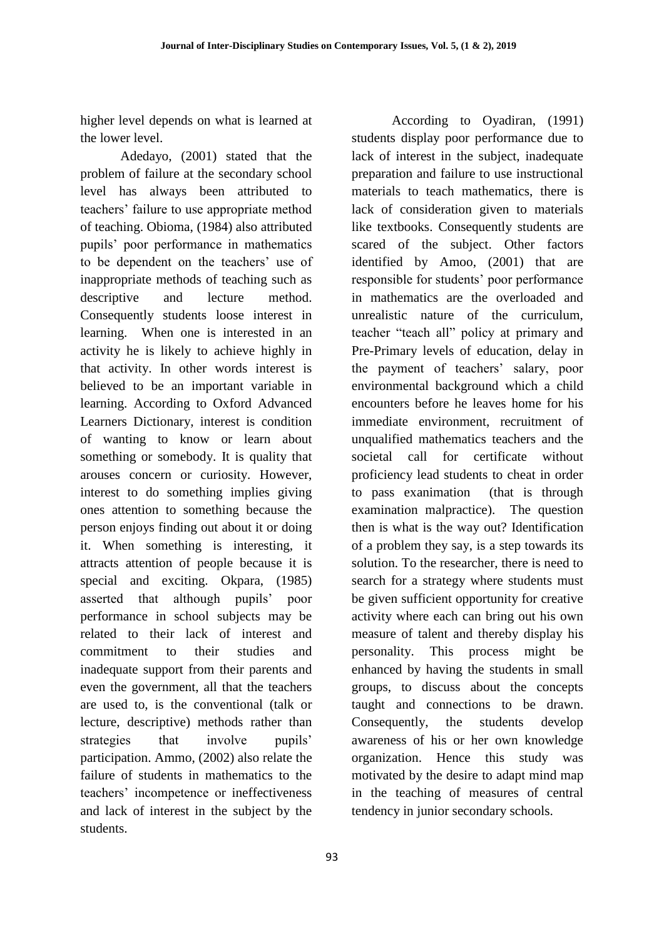higher level depends on what is learned at the lower level.

Adedayo, (2001) stated that the problem of failure at the secondary school level has always been attributed to teachers' failure to use appropriate method of teaching. Obioma, (1984) also attributed pupils' poor performance in mathematics to be dependent on the teachers' use of inappropriate methods of teaching such as descriptive and lecture method. Consequently students loose interest in learning. When one is interested in an activity he is likely to achieve highly in that activity. In other words interest is believed to be an important variable in learning. According to Oxford Advanced Learners Dictionary, interest is condition of wanting to know or learn about something or somebody. It is quality that arouses concern or curiosity. However, interest to do something implies giving ones attention to something because the person enjoys finding out about it or doing it. When something is interesting, it attracts attention of people because it is special and exciting. Okpara, (1985) asserted that although pupils' poor performance in school subjects may be related to their lack of interest and commitment to their studies and inadequate support from their parents and even the government, all that the teachers are used to, is the conventional (talk or lecture, descriptive) methods rather than strategies that involve pupils' participation. Ammo, (2002) also relate the failure of students in mathematics to the teachers' incompetence or ineffectiveness and lack of interest in the subject by the students.

According to Oyadiran, (1991) students display poor performance due to lack of interest in the subject, inadequate preparation and failure to use instructional materials to teach mathematics, there is lack of consideration given to materials like textbooks. Consequently students are scared of the subject. Other factors identified by Amoo, (2001) that are responsible for students' poor performance in mathematics are the overloaded and unrealistic nature of the curriculum, teacher "teach all" policy at primary and Pre-Primary levels of education, delay in the payment of teachers' salary, poor environmental background which a child encounters before he leaves home for his immediate environment, recruitment of unqualified mathematics teachers and the societal call for certificate without proficiency lead students to cheat in order to pass exanimation (that is through examination malpractice). The question then is what is the way out? Identification of a problem they say, is a step towards its solution. To the researcher, there is need to search for a strategy where students must be given sufficient opportunity for creative activity where each can bring out his own measure of talent and thereby display his personality. This process might be enhanced by having the students in small groups, to discuss about the concepts taught and connections to be drawn. Consequently, the students develop awareness of his or her own knowledge organization. Hence this study was motivated by the desire to adapt mind map in the teaching of measures of central tendency in junior secondary schools.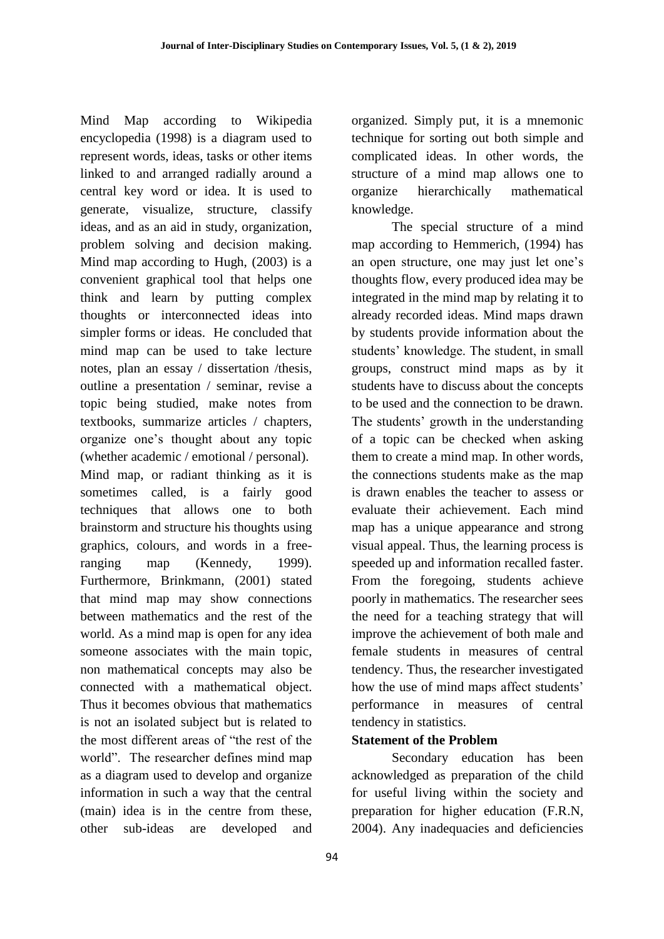Mind Map according to Wikipedia encyclopedia (1998) is a diagram used to represent words, ideas, tasks or other items linked to and arranged radially around a central key word or idea. It is used to generate, visualize, structure, classify ideas, and as an aid in study, organization, problem solving and decision making. Mind map according to Hugh, (2003) is a convenient graphical tool that helps one think and learn by putting complex thoughts or interconnected ideas into simpler forms or ideas. He concluded that mind map can be used to take lecture notes, plan an essay / dissertation /thesis, outline a presentation / seminar, revise a topic being studied, make notes from textbooks, summarize articles / chapters, organize one's thought about any topic (whether academic / emotional / personal). Mind map, or radiant thinking as it is sometimes called, is a fairly good techniques that allows one to both brainstorm and structure his thoughts using graphics, colours, and words in a freeranging map (Kennedy, 1999). Furthermore, Brinkmann, (2001) stated that mind map may show connections between mathematics and the rest of the world. As a mind map is open for any idea someone associates with the main topic, non mathematical concepts may also be connected with a mathematical object. Thus it becomes obvious that mathematics is not an isolated subject but is related to the most different areas of "the rest of the world". The researcher defines mind map as a diagram used to develop and organize information in such a way that the central (main) idea is in the centre from these, other sub-ideas are developed and

organized. Simply put, it is a mnemonic technique for sorting out both simple and complicated ideas. In other words, the structure of a mind map allows one to organize hierarchically mathematical knowledge.

The special structure of a mind map according to Hemmerich, (1994) has an open structure, one may just let one's thoughts flow, every produced idea may be integrated in the mind map by relating it to already recorded ideas. Mind maps drawn by students provide information about the students' knowledge. The student, in small groups, construct mind maps as by it students have to discuss about the concepts to be used and the connection to be drawn. The students' growth in the understanding of a topic can be checked when asking them to create a mind map. In other words, the connections students make as the map is drawn enables the teacher to assess or evaluate their achievement. Each mind map has a unique appearance and strong visual appeal. Thus, the learning process is speeded up and information recalled faster. From the foregoing, students achieve poorly in mathematics. The researcher sees the need for a teaching strategy that will improve the achievement of both male and female students in measures of central tendency. Thus, the researcher investigated how the use of mind maps affect students' performance in measures of central tendency in statistics.

### **Statement of the Problem**

Secondary education has been acknowledged as preparation of the child for useful living within the society and preparation for higher education (F.R.N, 2004). Any inadequacies and deficiencies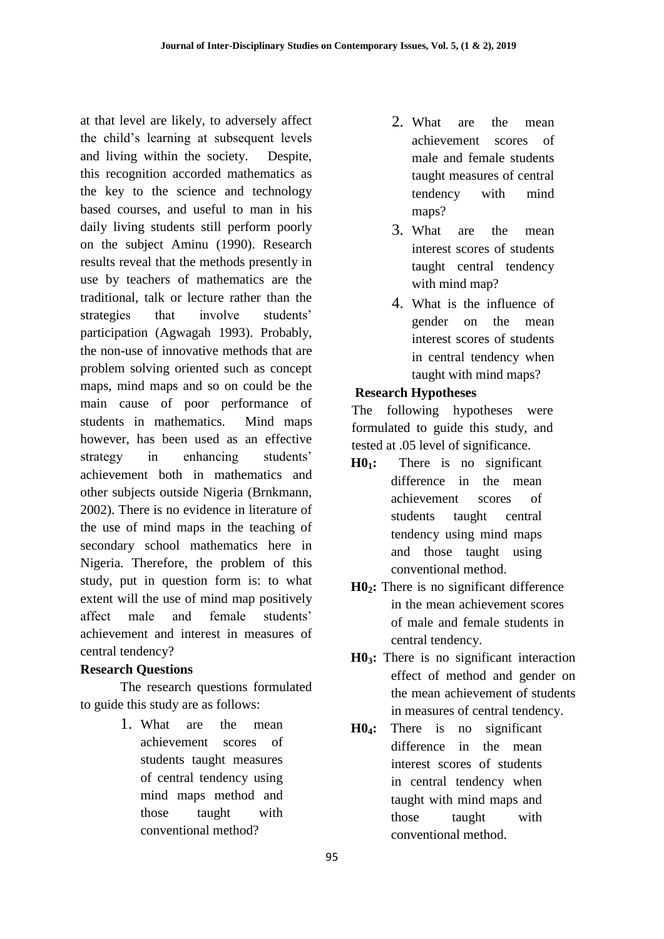at that level are likely, to adversely affect the child's learning at subsequent levels and living within the society. Despite, this recognition accorded mathematics as the key to the science and technology based courses, and useful to man in his daily living students still perform poorly on the subject Aminu (1990). Research results reveal that the methods presently in use by teachers of mathematics are the traditional, talk or lecture rather than the strategies that involve students' participation (Agwagah 1993). Probably, the non-use of innovative methods that are problem solving oriented such as concept maps, mind maps and so on could be the main cause of poor performance of students in mathematics. Mind maps however, has been used as an effective strategy in enhancing students' achievement both in mathematics and other subjects outside Nigeria (Brnkmann, 2002). There is no evidence in literature of the use of mind maps in the teaching of secondary school mathematics here in Nigeria. Therefore, the problem of this study, put in question form is: to what extent will the use of mind map positively affect male and female students' achievement and interest in measures of central tendency?

### **Research Questions**

The research questions formulated to guide this study are as follows:

> 1. What are the mean achievement scores of students taught measures of central tendency using mind maps method and those taught with conventional method?

- 2. What are the mean achievement scores of male and female students taught measures of central tendency with mind maps?
- 3. What are the mean interest scores of students taught central tendency with mind map?
- 4. What is the influence of gender on the mean interest scores of students in central tendency when taught with mind maps?

### **Research Hypotheses**

The following hypotheses were formulated to guide this study, and tested at .05 level of significance.

- **H01:** There is no significant difference in the mean achievement scores of students taught central tendency using mind maps and those taught using conventional method.
- **H02:** There is no significant difference in the mean achievement scores of male and female students in central tendency.
- **H03:** There is no significant interaction effect of method and gender on the mean achievement of students in measures of central tendency.
- **H04:** There is no significant difference in the mean interest scores of students in central tendency when taught with mind maps and those taught with conventional method.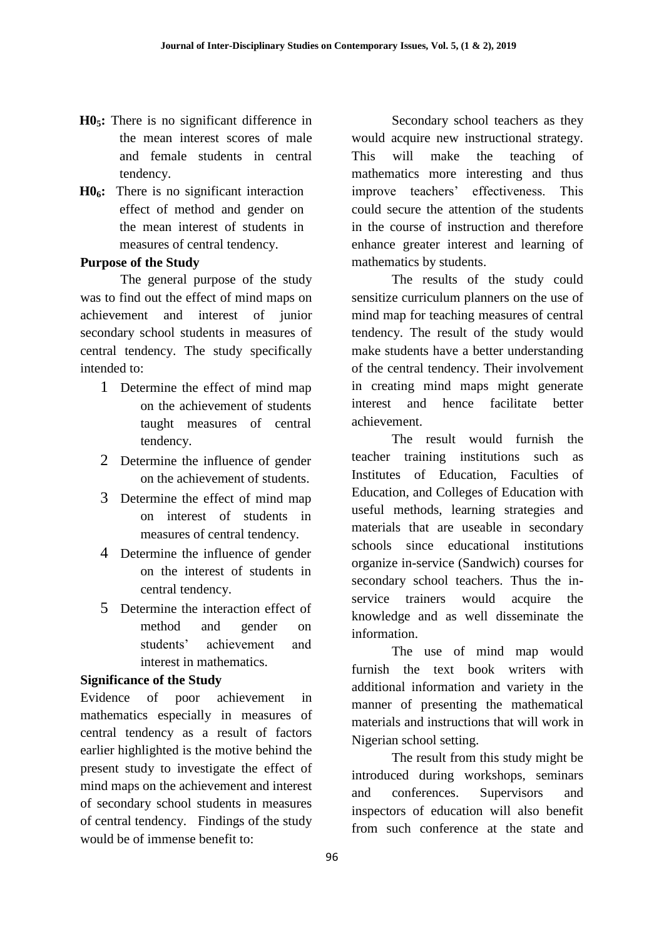- **H05:** There is no significant difference in the mean interest scores of male and female students in central tendency.
- **H06:** There is no significant interaction effect of method and gender on the mean interest of students in measures of central tendency.

### **Purpose of the Study**

The general purpose of the study was to find out the effect of mind maps on achievement and interest of junior secondary school students in measures of central tendency. The study specifically intended to:

- 1 Determine the effect of mind map on the achievement of students taught measures of central tendency.
- 2 Determine the influence of gender on the achievement of students.
- 3 Determine the effect of mind map on interest of students in measures of central tendency.
- 4 Determine the influence of gender on the interest of students in central tendency.
- 5 Determine the interaction effect of method and gender on students' achievement and interest in mathematics.

#### **Significance of the Study**

Evidence of poor achievement in mathematics especially in measures of central tendency as a result of factors earlier highlighted is the motive behind the present study to investigate the effect of mind maps on the achievement and interest of secondary school students in measures of central tendency. Findings of the study would be of immense benefit to:

Secondary school teachers as they would acquire new instructional strategy. This will make the teaching of mathematics more interesting and thus improve teachers' effectiveness. This could secure the attention of the students in the course of instruction and therefore enhance greater interest and learning of mathematics by students.

The results of the study could sensitize curriculum planners on the use of mind map for teaching measures of central tendency. The result of the study would make students have a better understanding of the central tendency. Their involvement in creating mind maps might generate interest and hence facilitate better achievement.

The result would furnish the teacher training institutions such as Institutes of Education, Faculties of Education, and Colleges of Education with useful methods, learning strategies and materials that are useable in secondary schools since educational institutions organize in-service (Sandwich) courses for secondary school teachers. Thus the inservice trainers would acquire the knowledge and as well disseminate the information.

The use of mind map would furnish the text book writers with additional information and variety in the manner of presenting the mathematical materials and instructions that will work in Nigerian school setting.

The result from this study might be introduced during workshops, seminars and conferences. Supervisors and inspectors of education will also benefit from such conference at the state and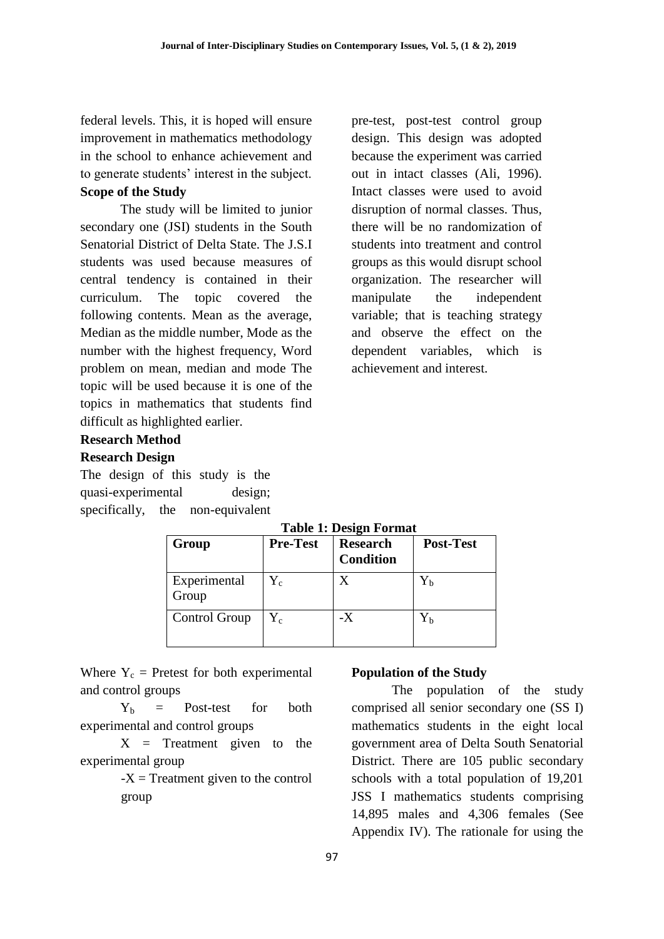federal levels. This, it is hoped will ensure improvement in mathematics methodology in the school to enhance achievement and to generate students' interest in the subject. **Scope of the Study** 

The study will be limited to junior secondary one (JSI) students in the South Senatorial District of Delta State. The J.S.I students was used because measures of central tendency is contained in their curriculum. The topic covered the following contents. Mean as the average, Median as the middle number, Mode as the number with the highest frequency, Word problem on mean, median and mode The topic will be used because it is one of the topics in mathematics that students find difficult as highlighted earlier.

pre-test, post-test control group design. This design was adopted because the experiment was carried out in intact classes (Ali, 1996). Intact classes were used to avoid disruption of normal classes. Thus, there will be no randomization of students into treatment and control groups as this would disrupt school organization. The researcher will manipulate the independent variable; that is teaching strategy and observe the effect on the dependent variables, which is achievement and interest.

# **Research Method**

### **Research Design**

The design of this study is the quasi-experimental design; specifically, the non-equivalent

| Table 1; Design Format |                 |                                     |                  |  |  |  |  |  |
|------------------------|-----------------|-------------------------------------|------------------|--|--|--|--|--|
| Group                  | <b>Pre-Test</b> | <b>Research</b><br><b>Condition</b> | <b>Post-Test</b> |  |  |  |  |  |
| Experimental<br>Group  | ${\rm Y_c}$     | X                                   | $Y_{b}$          |  |  |  |  |  |
| Control Group          | ${\rm Y_c}$     | $-X$                                | $Y_{b}$          |  |  |  |  |  |

### **Table 1: Design Format**

Where  $Y_c$  = Pretest for both experimental and control groups

 $Y_b$  = Post-test for both experimental and control groups

 $X =$  Treatment given to the experimental group

> $-X = T$  reatment given to the control group

### **Population of the Study**

The population of the study comprised all senior secondary one (SS I) mathematics students in the eight local government area of Delta South Senatorial District. There are 105 public secondary schools with a total population of 19,201 JSS I mathematics students comprising 14,895 males and 4,306 females (See Appendix IV). The rationale for using the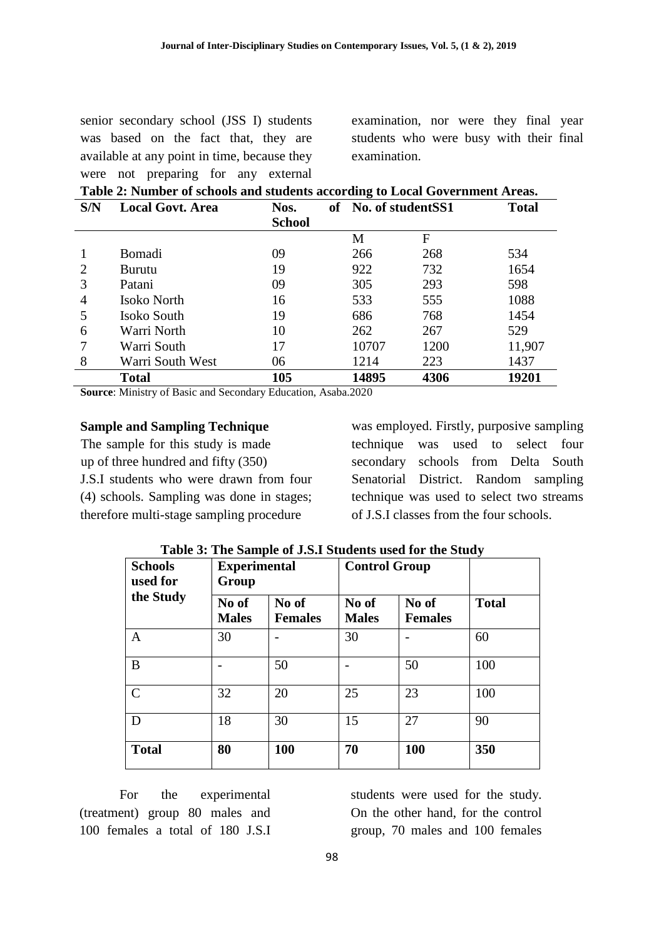senior secondary school (JSS I) students was based on the fact that, they are available at any point in time, because they were not preparing for any external examination, nor were they final year students who were busy with their final examination.

| Table 2: Number of schools and students according to Local Government Areas. |                         |               |  |                                      |      |        |  |  |  |  |
|------------------------------------------------------------------------------|-------------------------|---------------|--|--------------------------------------|------|--------|--|--|--|--|
| S/N                                                                          | <b>Local Govt. Area</b> | Nos.          |  | of No. of studentSS1<br><b>Total</b> |      |        |  |  |  |  |
|                                                                              |                         | <b>School</b> |  |                                      |      |        |  |  |  |  |
|                                                                              |                         |               |  | M                                    | F    |        |  |  |  |  |
|                                                                              | Bomadi                  | 09            |  | 266                                  | 268  | 534    |  |  |  |  |
| 2                                                                            | <b>Burutu</b>           | 19            |  | 922                                  | 732  | 1654   |  |  |  |  |
| 3                                                                            | Patani                  | 09            |  | 305                                  | 293  | 598    |  |  |  |  |
| 4                                                                            | Isoko North             | 16            |  | 533                                  | 555  | 1088   |  |  |  |  |
|                                                                              | Isoko South             | 19            |  | 686                                  | 768  | 1454   |  |  |  |  |
| 6                                                                            | Warri North             | 10            |  | 262                                  | 267  | 529    |  |  |  |  |
| 7                                                                            | Warri South             | 17            |  | 10707                                | 1200 | 11,907 |  |  |  |  |
| 8                                                                            | Warri South West        | 06            |  | 1214                                 | 223  | 1437   |  |  |  |  |
|                                                                              | <b>Total</b>            | 105           |  | 14895                                | 4306 | 19201  |  |  |  |  |

**Source**: Ministry of Basic and Secondary Education, Asaba.2020

#### **Sample and Sampling Technique**

The sample for this study is made up of three hundred and fifty (350) J.S.I students who were drawn from four (4) schools. Sampling was done in stages; therefore multi-stage sampling procedure

was employed. Firstly, purposive sampling technique was used to select four secondary schools from Delta South Senatorial District. Random sampling technique was used to select two streams of J.S.I classes from the four schools.

| <b>Schools</b><br>used for | <b>Experimental</b><br>Group |                         | <b>Control Group</b>  |                         |              |
|----------------------------|------------------------------|-------------------------|-----------------------|-------------------------|--------------|
| the Study                  | No of<br><b>Males</b>        | No of<br><b>Females</b> | No of<br><b>Males</b> | No of<br><b>Females</b> | <b>Total</b> |
| A                          | 30                           |                         | 30                    |                         | 60           |
| B                          |                              | 50                      |                       | 50                      | 100          |
| $\mathcal{C}$              | 32                           | 20                      | 25                    | 23                      | 100          |
| D                          | 18                           | 30                      | 15                    | 27                      | 90           |
| <b>Total</b>               | 80                           | 100                     | 70                    | 100                     | 350          |

**Table 3: The Sample of J.S.I Students used for the Study** 

For the experimental (treatment) group 80 males and 100 females a total of 180 J.S.I

students were used for the study. On the other hand, for the control group, 70 males and 100 females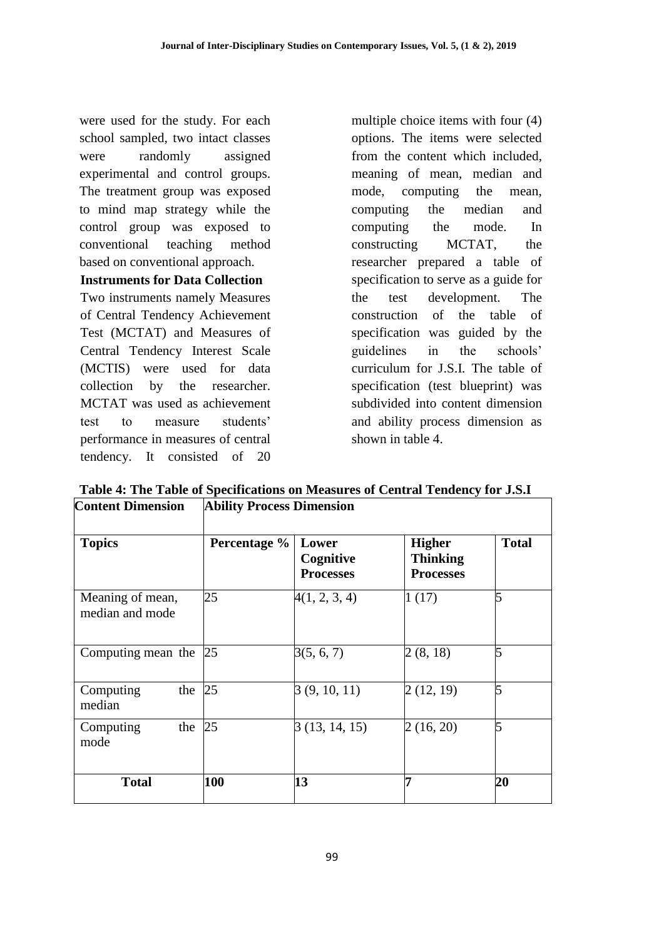were used for the study. For each school sampled, two intact classes were randomly assigned experimental and control groups. The treatment group was exposed to mind map strategy while the control group was exposed to conventional teaching method based on conventional approach.

### **Instruments for Data Collection**

Two instruments namely Measures of Central Tendency Achievement Test (MCTAT) and Measures of Central Tendency Interest Scale (MCTIS) were used for data collection by the researcher. MCTAT was used as achievement test to measure students' performance in measures of central tendency. It consisted of 20

multiple choice items with four (4) options. The items were selected from the content which included, meaning of mean, median and mode, computing the mean, computing the median and computing the mode. In constructing MCTAT, the researcher prepared a table of specification to serve as a guide for the test development. The construction of the table of specification was guided by the guidelines in the schools' curriculum for J.S.I. The table of specification (test blueprint) was subdivided into content dimension and ability process dimension as shown in table 4.

| <b>Content Dimension</b>            | <b>Ability Process Dimension</b> |                                        |                                                      |              |  |  |  |  |
|-------------------------------------|----------------------------------|----------------------------------------|------------------------------------------------------|--------------|--|--|--|--|
| <b>Topics</b>                       | Percentage %                     | Lower<br>Cognitive<br><b>Processes</b> | <b>Higher</b><br><b>Thinking</b><br><b>Processes</b> | <b>Total</b> |  |  |  |  |
| Meaning of mean,<br>median and mode | 25                               | 4(1, 2, 3, 4)                          | 1(17)                                                | 5            |  |  |  |  |
| Computing mean the                  | 25                               | 3(5, 6, 7)                             | 2(8, 18)                                             |              |  |  |  |  |
| Computing<br>the<br>median          | 25                               | 3(9, 10, 11)                           | 2(12, 19)                                            |              |  |  |  |  |
| the<br>Computing<br>mode            | 25                               | 3(13, 14, 15)                          | 2(16, 20)                                            |              |  |  |  |  |
| <b>Total</b>                        | 100                              | 13                                     | 7                                                    | 20           |  |  |  |  |

**Table 4: The Table of Specifications on Measures of Central Tendency for J.S.I**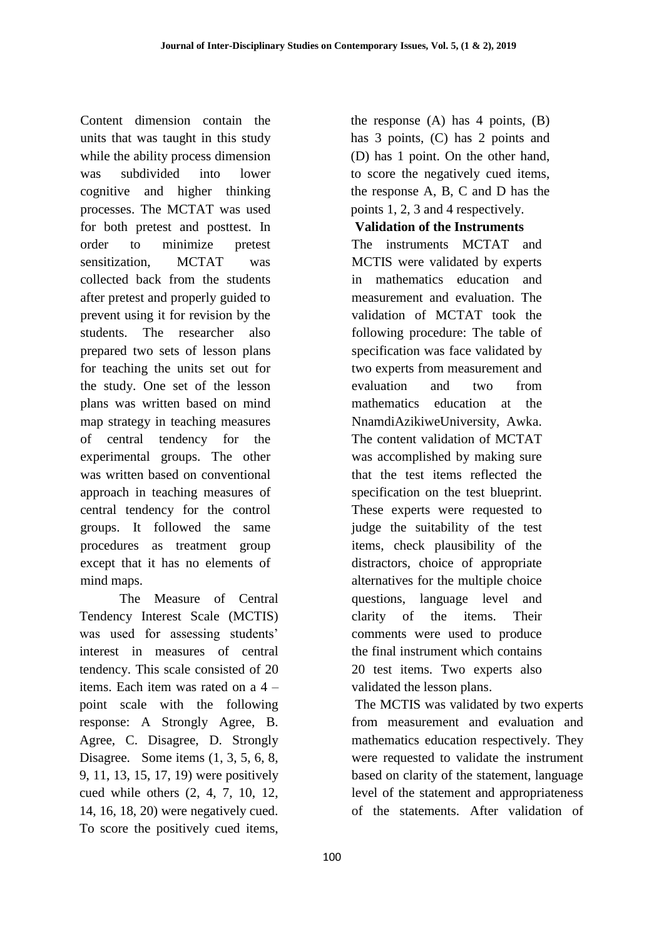Content dimension contain the units that was taught in this study while the ability process dimension was subdivided into lower cognitive and higher thinking processes. The MCTAT was used for both pretest and posttest. In order to minimize pretest sensitization, MCTAT was collected back from the students after pretest and properly guided to prevent using it for revision by the students. The researcher also prepared two sets of lesson plans for teaching the units set out for the study. One set of the lesson plans was written based on mind map strategy in teaching measures of central tendency for the experimental groups. The other was written based on conventional approach in teaching measures of central tendency for the control groups. It followed the same procedures as treatment group except that it has no elements of mind maps.

The Measure of Central Tendency Interest Scale (MCTIS) was used for assessing students' interest in measures of central tendency. This scale consisted of 20 items. Each item was rated on a 4 – point scale with the following response: A Strongly Agree, B. Agree, C. Disagree, D. Strongly Disagree. Some items  $(1, 3, 5, 6, 8,$ 9, 11, 13, 15, 17, 19) were positively cued while others (2, 4, 7, 10, 12, 14, 16, 18, 20) were negatively cued. To score the positively cued items,

the response  $(A)$  has 4 points,  $(B)$ has 3 points, (C) has 2 points and (D) has 1 point. On the other hand, to score the negatively cued items, the response A, B, C and D has the points 1, 2, 3 and 4 respectively.

# **Validation of the Instruments**

The instruments MCTAT and MCTIS were validated by experts in mathematics education and measurement and evaluation. The validation of MCTAT took the following procedure: The table of specification was face validated by two experts from measurement and evaluation and two from mathematics education at the NnamdiAzikiweUniversity, Awka. The content validation of MCTAT was accomplished by making sure that the test items reflected the specification on the test blueprint. These experts were requested to judge the suitability of the test items, check plausibility of the distractors, choice of appropriate alternatives for the multiple choice questions, language level and clarity of the items. Their comments were used to produce the final instrument which contains 20 test items. Two experts also validated the lesson plans.

The MCTIS was validated by two experts from measurement and evaluation and mathematics education respectively. They were requested to validate the instrument based on clarity of the statement, language level of the statement and appropriateness of the statements. After validation of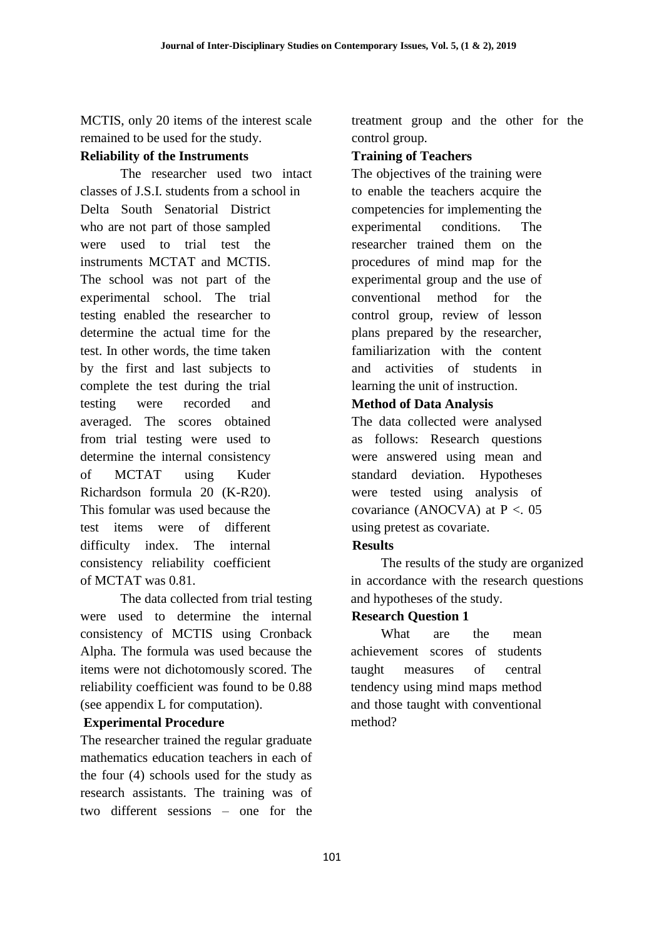MCTIS, only 20 items of the interest scale remained to be used for the study.

# **Reliability of the Instruments**

The researcher used two intact classes of J.S.I. students from a school in Delta South Senatorial District who are not part of those sampled were used to trial test the instruments MCTAT and MCTIS. The school was not part of the experimental school. The trial testing enabled the researcher to determine the actual time for the test. In other words, the time taken by the first and last subjects to complete the test during the trial testing were recorded and averaged. The scores obtained from trial testing were used to determine the internal consistency of MCTAT using Kuder Richardson formula 20 (K-R20). This fomular was used because the test items were of different difficulty index. The internal consistency reliability coefficient of MCTAT was 0.81.

The data collected from trial testing were used to determine the internal consistency of MCTIS using Cronback Alpha. The formula was used because the items were not dichotomously scored. The reliability coefficient was found to be 0.88 (see appendix L for computation).

# **Experimental Procedure**

The researcher trained the regular graduate mathematics education teachers in each of the four (4) schools used for the study as research assistants. The training was of two different sessions – one for the treatment group and the other for the control group.

# **Training of Teachers**

The objectives of the training were to enable the teachers acquire the competencies for implementing the experimental conditions. The researcher trained them on the procedures of mind map for the experimental group and the use of conventional method for the control group, review of lesson plans prepared by the researcher, familiarization with the content and activities of students in learning the unit of instruction.

# **Method of Data Analysis**

The data collected were analysed as follows: Research questions were answered using mean and standard deviation. Hypotheses were tested using analysis of covariance (ANOCVA) at  $P < 0.05$ using pretest as covariate.

# **Results**

The results of the study are organized in accordance with the research questions and hypotheses of the study.

# **Research Question 1**

What are the mean achievement scores of students taught measures of central tendency using mind maps method and those taught with conventional method?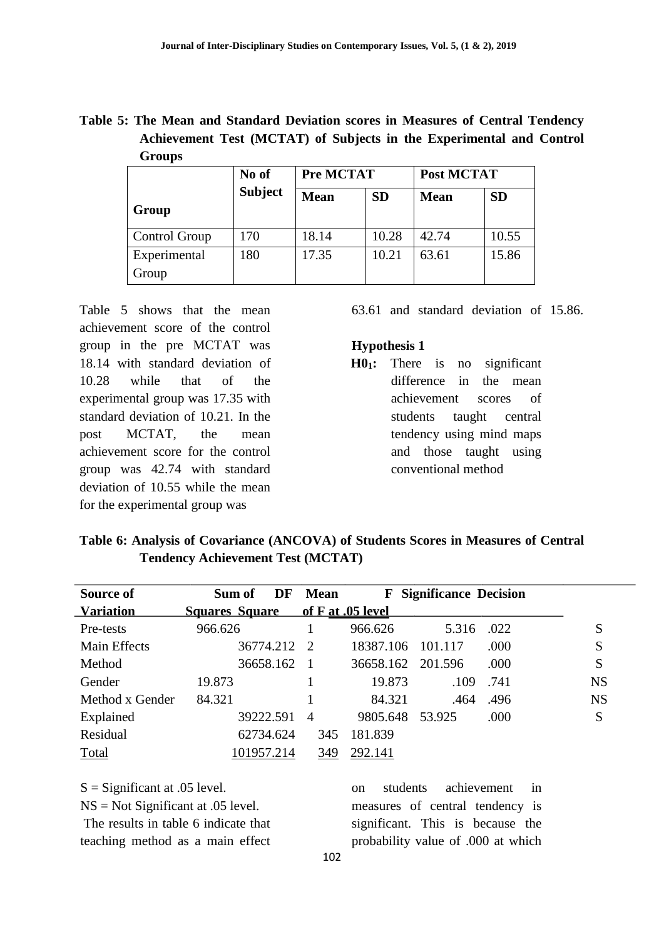**Table 5: The Mean and Standard Deviation scores in Measures of Central Tendency Achievement Test (MCTAT) of Subjects in the Experimental and Control Groups** 

|                       | No of          | <b>Pre MCTAT</b> |           | Post MCTAT  |           |  |
|-----------------------|----------------|------------------|-----------|-------------|-----------|--|
| Group                 | <b>Subject</b> | <b>Mean</b>      | <b>SD</b> | <b>Mean</b> | <b>SD</b> |  |
| <b>Control Group</b>  | 170            | 18.14            | 10.28     | 42.74       | 10.55     |  |
| Experimental<br>Group | 180            | 17.35            | 10.21     | 63.61       | 15.86     |  |

Table 5 shows that the mean achievement score of the control group in the pre MCTAT was 18.14 with standard deviation of 10.28 while that of the experimental group was 17.35 with standard deviation of 10.21. In the post MCTAT, the mean achievement score for the control group was 42.74 with standard deviation of 10.55 while the mean for the experimental group was

63.61 and standard deviation of 15.86.

#### **Hypothesis 1**

**H01:** There is no significant difference in the mean achievement scores of students taught central tendency using mind maps and those taught using conventional method

| Table 6: Analysis of Covariance (ANCOVA) of Students Scores in Measures of Central |                                          |  |
|------------------------------------------------------------------------------------|------------------------------------------|--|
|                                                                                    | <b>Tendency Achievement Test (MCTAT)</b> |  |

| Source of        | DF<br>Sum of                           | <b>Mean</b>    |           | <b>F</b> Significance Decision |      |           |
|------------------|----------------------------------------|----------------|-----------|--------------------------------|------|-----------|
| <b>Variation</b> | <b>Squares Square</b> of F at 05 level |                |           |                                |      |           |
| Pre-tests        | 966.626                                |                | 966.626   | 5.316                          | .022 | S         |
| Main Effects     | 36774.212                              | $\mathcal{D}$  | 18387.106 | 101.117                        | .000 | S         |
| Method           | 36658.162                              |                |           | 36658.162 201.596              | .000 | S         |
| Gender           | 19.873                                 |                | 19.873    | .109                           | .741 | <b>NS</b> |
| Method x Gender  | 84.321                                 |                | 84.321    | .464                           | .496 | <b>NS</b> |
| Explained        | 39222.591                              | $\overline{A}$ | 9805.648  | 53.925                         | .000 | S         |
| Residual         | 62734.624                              | 345            | 181.839   |                                |      |           |
| <b>Total</b>     | 101957.214                             | 349            | 292.141   |                                |      |           |

 $S =$ Significant at .05 level.

NS = Not Significant at .05 level.

The results in table 6 indicate that teaching method as a main effect

on students achievement in measures of central tendency is significant. This is because the probability value of .000 at which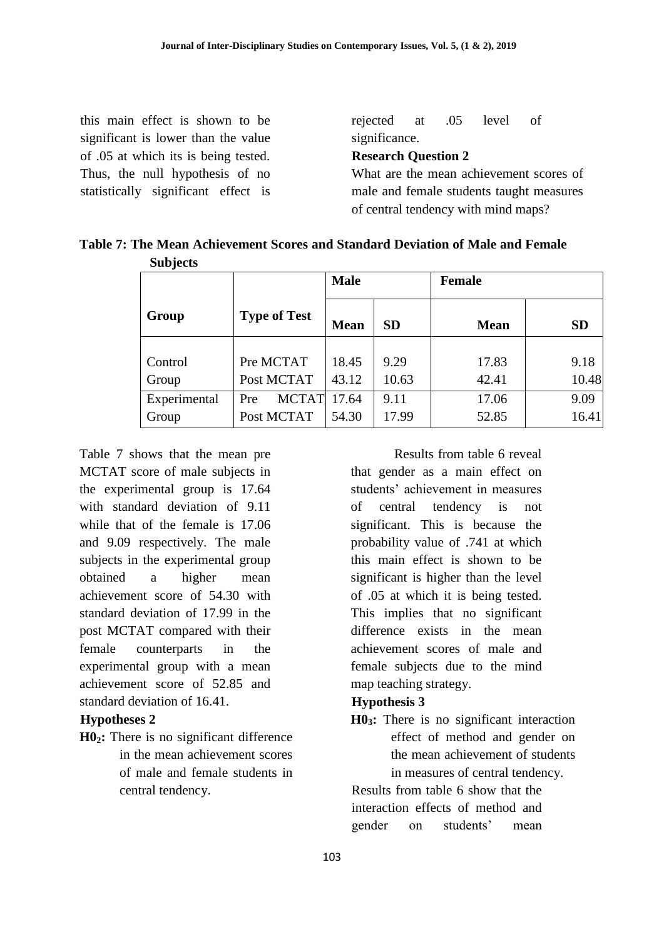this main effect is shown to be significant is lower than the value of .05 at which its is being tested. Thus, the null hypothesis of no statistically significant effect is rejected at .05 level of significance. **Research Question 2**  What are the mean achievement scores of male and female students taught measures of central tendency with mind maps?

|                 | Table 7: The Mean Achievement Scores and Standard Deviation of Male and Female |  |
|-----------------|--------------------------------------------------------------------------------|--|
| <b>Subjects</b> |                                                                                |  |

|              |                     | <b>Male</b> |           | <b>Female</b> |           |  |
|--------------|---------------------|-------------|-----------|---------------|-----------|--|
| Group        | <b>Type of Test</b> | <b>Mean</b> | <b>SD</b> | <b>Mean</b>   | <b>SD</b> |  |
|              |                     |             |           |               |           |  |
| Control      | Pre MCTAT           | 18.45       | 9.29      | 17.83         | 9.18      |  |
| Group        | Post MCTAT          | 43.12       | 10.63     | 42.41         | 10.48     |  |
| Experimental | <b>MCTAT</b><br>Pre | 17.64       | 9.11      | 17.06         | 9.09      |  |
| Group        | Post MCTAT          | 54.30       | 17.99     | 52.85         | 16.41     |  |

Table 7 shows that the mean pre MCTAT score of male subjects in the experimental group is 17.64 with standard deviation of 9.11 while that of the female is 17.06 and 9.09 respectively. The male subjects in the experimental group obtained a higher mean achievement score of 54.30 with standard deviation of 17.99 in the post MCTAT compared with their female counterparts in the experimental group with a mean achievement score of 52.85 and standard deviation of 16.41.

## **Hypotheses 2**

**H02:** There is no significant difference in the mean achievement scores of male and female students in central tendency.

Results from table 6 reveal that gender as a main effect on students' achievement in measures of central tendency is not significant. This is because the probability value of .741 at which this main effect is shown to be significant is higher than the level of .05 at which it is being tested. This implies that no significant difference exists in the mean achievement scores of male and female subjects due to the mind map teaching strategy.

### **Hypothesis 3**

**H03:** There is no significant interaction effect of method and gender on the mean achievement of students in measures of central tendency.

Results from table 6 show that the interaction effects of method and gender on students' mean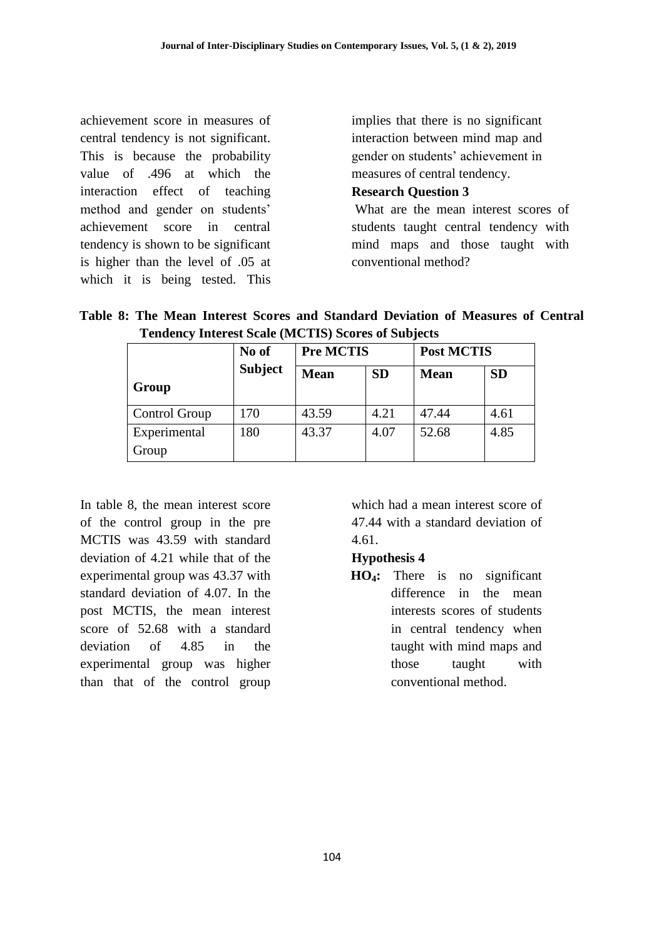achievement score in measures of central tendency is not significant. This is because the probability value of .496 at which the interaction effect of teaching method and gender on students' achievement score in central tendency is shown to be significant is higher than the level of .05 at which it is being tested. This

implies that there is no significant interaction between mind map and gender on students' achievement in measures of central tendency.

### **Research Question 3**

What are the mean interest scores of students taught central tendency with mind maps and those taught with conventional method?

|  |  | Table 8: The Mean Interest Scores and Standard Deviation of Measures of Central |                                 |  |
|--|--|---------------------------------------------------------------------------------|---------------------------------|--|
|  |  | <b>Tendency Interest Scale (MCTIS) Scores of Subjects</b>                       |                                 |  |
|  |  | $N_{\alpha}$ of $\Box$ $D_{\alpha}$ $M$ $C$ $T$ $T$ $C$                         | $\Gamma$ D <sub>oct</sub> MCTIC |  |

|                       | No of          | <b>Pre MCTIS</b> |           | <b>Post MCTIS</b> |           |
|-----------------------|----------------|------------------|-----------|-------------------|-----------|
| Group                 | <b>Subject</b> | <b>Mean</b>      | <b>SD</b> | <b>Mean</b>       | <b>SD</b> |
| Control Group         | 170            | 43.59            | 4.21      | 47.44             | 4.61      |
| Experimental<br>Group | 180            | 43.37            | 4.07      | 52.68             | 4.85      |

In table 8, the mean interest score of the control group in the pre MCTIS was 43.59 with standard deviation of 4.21 while that of the experimental group was 43.37 with standard deviation of 4.07. In the post MCTIS, the mean interest score of 52.68 with a standard deviation of 4.85 in the experimental group was higher than that of the control group

which had a mean interest score of 47.44 with a standard deviation of 4.61.

### **Hypothesis 4**

**HO4:** There is no significant difference in the mean interests scores of students in central tendency when taught with mind maps and those taught with conventional method.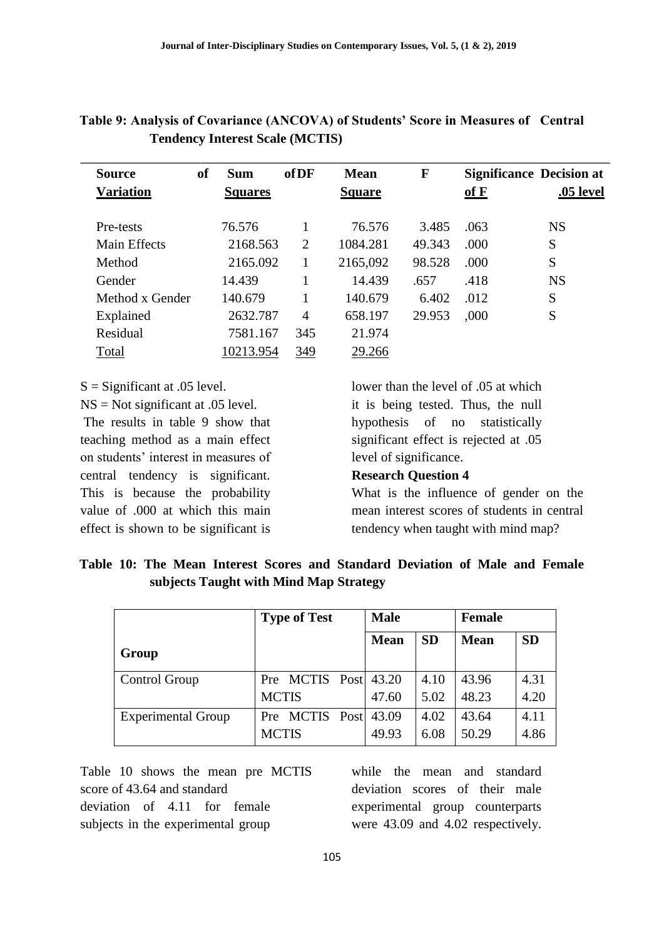| <b>Source</b><br><b>Variation</b> | of | <b>Sum</b><br><b>Squares</b> | <b>of DF</b>   | <b>Mean</b><br><b>Square</b> | F      | $\underline{\mathbf{of}}\ \mathbf{F}$ | <b>Significance Decision at</b><br>.05 level |
|-----------------------------------|----|------------------------------|----------------|------------------------------|--------|---------------------------------------|----------------------------------------------|
| Pre-tests                         |    | 76.576                       |                | 76.576                       | 3.485  | .063                                  | <b>NS</b>                                    |
| Main Effects                      |    | 2168.563                     | 2              | 1084.281                     | 49.343 | .000                                  | S                                            |
| Method                            |    | 2165.092                     |                | 2165,092                     | 98.528 | .000                                  | S                                            |
| Gender                            |    | 14.439                       |                | 14.439                       | .657   | .418                                  | <b>NS</b>                                    |
| Method x Gender                   |    | 140.679                      |                | 140.679                      | 6.402  | .012                                  | S                                            |
| Explained                         |    | 2632.787                     | $\overline{4}$ | 658.197                      | 29.953 | ,000                                  | S                                            |
| Residual                          |    | 7581.167                     | 345            | 21.974                       |        |                                       |                                              |
| Total                             |    | 10213.954                    | 349            | 29.266                       |        |                                       |                                              |

**Table 9: Analysis of Covariance (ANCOVA) of Students' Score in Measures of Central Tendency Interest Scale (MCTIS)** 

 $S =$ Significant at .05 level.

NS = Not significant at .05 level. The results in table 9 show that

teaching method as a main effect on students' interest in measures of central tendency is significant. This is because the probability value of .000 at which this main effect is shown to be significant is

lower than the level of .05 at which it is being tested. Thus, the null hypothesis of no statistically significant effect is rejected at .05 level of significance.

# **Research Question 4**

What is the influence of gender on the mean interest scores of students in central tendency when taught with mind map?

**Table 10: The Mean Interest Scores and Standard Deviation of Male and Female subjects Taught with Mind Map Strategy** 

|                           | <b>Type of Test</b>  | <b>Male</b> |           | <b>Female</b> |           |
|---------------------------|----------------------|-------------|-----------|---------------|-----------|
| Group                     |                      | <b>Mean</b> | <b>SD</b> | <b>Mean</b>   | <b>SD</b> |
| Control Group             | Pre MCTIS Post 43.20 |             | 4.10      | 43.96         | 4.31      |
|                           | <b>MCTIS</b>         | 47.60       | 5.02      | 48.23         | 4.20      |
| <b>Experimental Group</b> | Pre MCTIS Post       | 43.09       | 4.02      | 43.64         | 4.11      |
|                           | <b>MCTIS</b>         | 49.93       | 6.08      | 50.29         | 4.86      |

Table 10 shows the mean pre MCTIS score of 43.64 and standard deviation of 4.11 for female subjects in the experimental group

while the mean and standard deviation scores of their male experimental group counterparts were 43.09 and 4.02 respectively.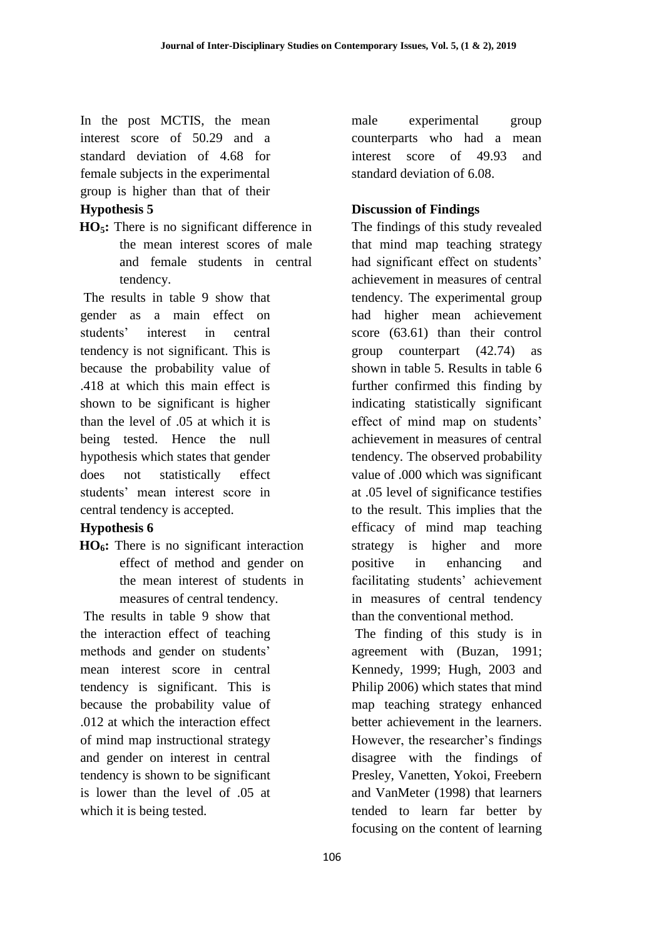In the post MCTIS, the mean interest score of 50.29 and a standard deviation of 4.68 for female subjects in the experimental group is higher than that of their

### **Hypothesis 5**

**HO5:** There is no significant difference in the mean interest scores of male and female students in central tendency.

The results in table 9 show that gender as a main effect on students' interest in central tendency is not significant. This is because the probability value of .418 at which this main effect is shown to be significant is higher than the level of .05 at which it is being tested. Hence the null hypothesis which states that gender does not statistically effect students' mean interest score in central tendency is accepted.

### **Hypothesis 6**

**HO6:** There is no significant interaction effect of method and gender on the mean interest of students in measures of central tendency.

The results in table 9 show that the interaction effect of teaching methods and gender on students' mean interest score in central tendency is significant. This is because the probability value of .012 at which the interaction effect of mind map instructional strategy and gender on interest in central tendency is shown to be significant is lower than the level of .05 at which it is being tested.

male experimental group counterparts who had a mean interest score of 49.93 and standard deviation of 6.08.

### **Discussion of Findings**

The findings of this study revealed that mind map teaching strategy had significant effect on students' achievement in measures of central tendency. The experimental group had higher mean achievement score (63.61) than their control group counterpart (42.74) as shown in table 5. Results in table 6 further confirmed this finding by indicating statistically significant effect of mind map on students' achievement in measures of central tendency. The observed probability value of .000 which was significant at .05 level of significance testifies to the result. This implies that the efficacy of mind map teaching strategy is higher and more positive in enhancing and facilitating students' achievement in measures of central tendency than the conventional method.

The finding of this study is in agreement with (Buzan, 1991; Kennedy, 1999; Hugh, 2003 and Philip 2006) which states that mind map teaching strategy enhanced better achievement in the learners. However, the researcher's findings disagree with the findings of Presley, Vanetten, Yokoi, Freebern and VanMeter (1998) that learners tended to learn far better by focusing on the content of learning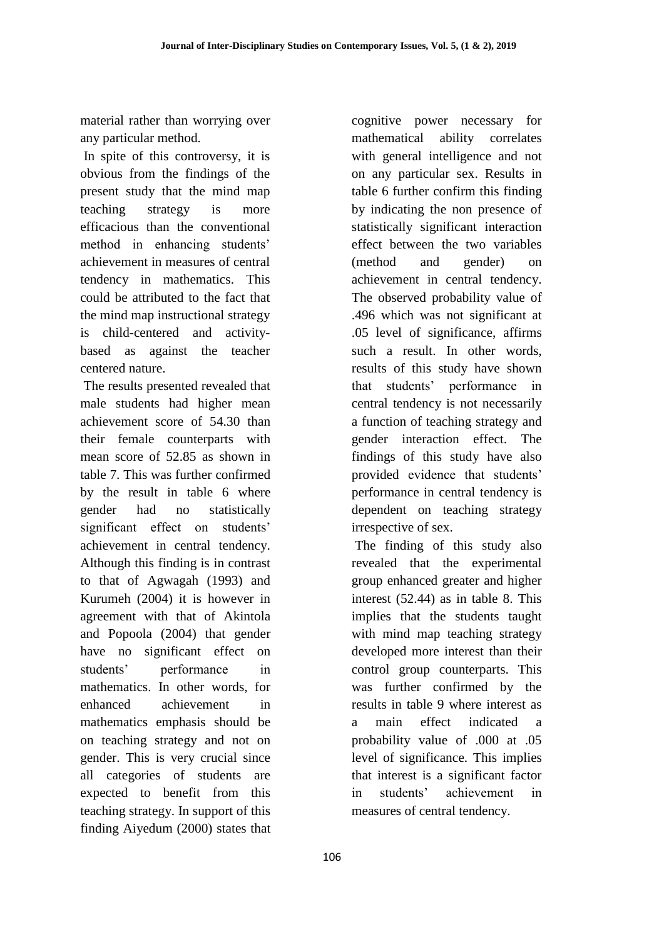material rather than worrying over any particular method.

In spite of this controversy, it is obvious from the findings of the present study that the mind map teaching strategy is more efficacious than the conventional method in enhancing students' achievement in measures of central tendency in mathematics. This could be attributed to the fact that the mind map instructional strategy is child-centered and activitybased as against the teacher centered nature.

The results presented revealed that male students had higher mean achievement score of 54.30 than their female counterparts with mean score of 52.85 as shown in table 7. This was further confirmed by the result in table 6 where gender had no statistically significant effect on students' achievement in central tendency. Although this finding is in contrast to that of Agwagah (1993) and Kurumeh (2004) it is however in agreement with that of Akintola and Popoola (2004) that gender have no significant effect on students' performance in mathematics. In other words, for enhanced achievement in mathematics emphasis should be on teaching strategy and not on gender. This is very crucial since all categories of students are expected to benefit from this teaching strategy. In support of this finding Aiyedum (2000) states that

cognitive power necessary for mathematical ability correlates with general intelligence and not on any particular sex. Results in table 6 further confirm this finding by indicating the non presence of statistically significant interaction effect between the two variables (method and gender) on achievement in central tendency. The observed probability value of .496 which was not significant at .05 level of significance, affirms such a result. In other words, results of this study have shown that students' performance in central tendency is not necessarily a function of teaching strategy and gender interaction effect. The findings of this study have also provided evidence that students' performance in central tendency is dependent on teaching strategy irrespective of sex.

The finding of this study also revealed that the experimental group enhanced greater and higher interest (52.44) as in table 8. This implies that the students taught with mind map teaching strategy developed more interest than their control group counterparts. This was further confirmed by the results in table 9 where interest as a main effect indicated a probability value of .000 at .05 level of significance. This implies that interest is a significant factor in students' achievement in measures of central tendency.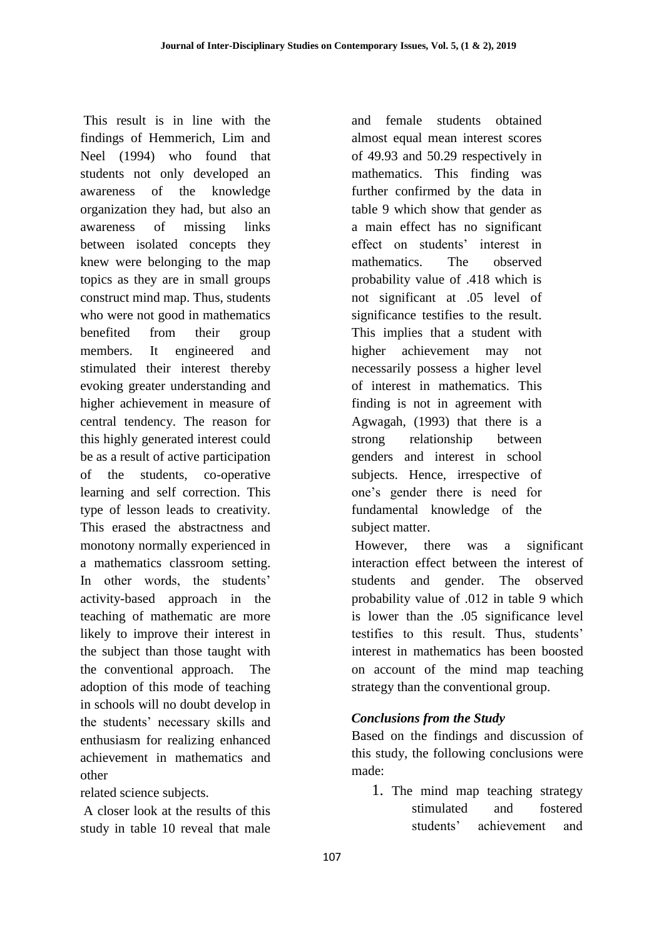This result is in line with the findings of Hemmerich, Lim and Neel (1994) who found that students not only developed an awareness of the knowledge organization they had, but also an awareness of missing links between isolated concepts they knew were belonging to the map topics as they are in small groups construct mind map. Thus, students who were not good in mathematics benefited from their group members. It engineered and stimulated their interest thereby evoking greater understanding and higher achievement in measure of central tendency. The reason for this highly generated interest could be as a result of active participation of the students, co-operative learning and self correction. This type of lesson leads to creativity. This erased the abstractness and monotony normally experienced in a mathematics classroom setting. In other words, the students' activity-based approach in the teaching of mathematic are more likely to improve their interest in the subject than those taught with the conventional approach. The adoption of this mode of teaching in schools will no doubt develop in the students' necessary skills and enthusiasm for realizing enhanced achievement in mathematics and other

related science subjects.

A closer look at the results of this study in table 10 reveal that male

and female students obtained almost equal mean interest scores of 49.93 and 50.29 respectively in mathematics. This finding was further confirmed by the data in table 9 which show that gender as a main effect has no significant effect on students' interest in mathematics. The observed probability value of .418 which is not significant at .05 level of significance testifies to the result. This implies that a student with higher achievement may not necessarily possess a higher level of interest in mathematics. This finding is not in agreement with Agwagah, (1993) that there is a strong relationship between genders and interest in school subjects. Hence, irrespective of one's gender there is need for fundamental knowledge of the subject matter.

However, there was a significant interaction effect between the interest of students and gender. The observed probability value of .012 in table 9 which is lower than the .05 significance level testifies to this result. Thus, students' interest in mathematics has been boosted on account of the mind map teaching strategy than the conventional group.

# *Conclusions from the Study*

Based on the findings and discussion of this study, the following conclusions were made:

1. The mind map teaching strategy stimulated and fostered students' achievement and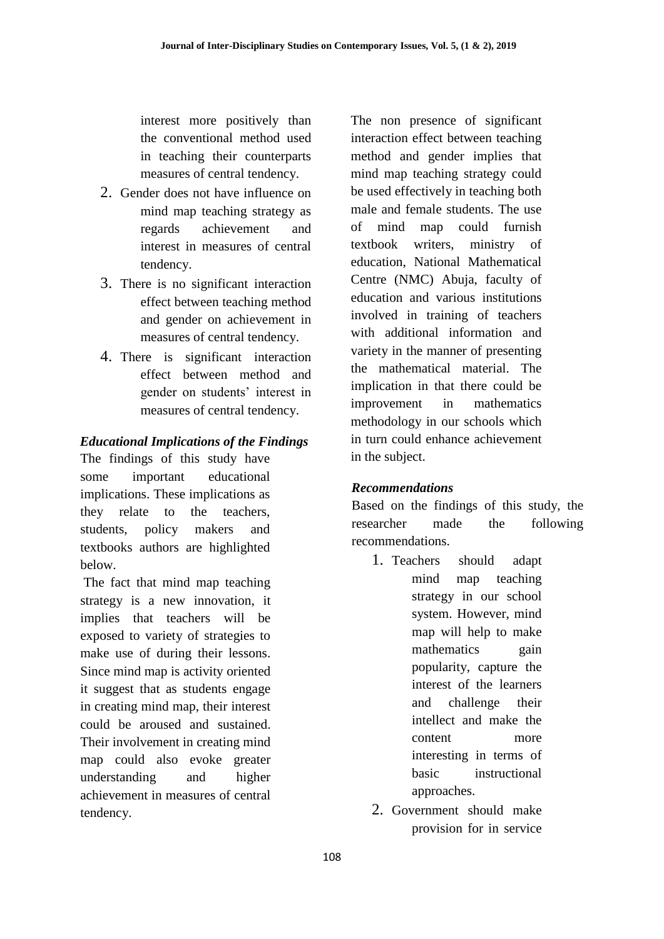interest more positively than the conventional method used in teaching their counterparts measures of central tendency.

- 2. Gender does not have influence on mind map teaching strategy as regards achievement and interest in measures of central tendency.
- 3. There is no significant interaction effect between teaching method and gender on achievement in measures of central tendency.
- 4. There is significant interaction effect between method and gender on students' interest in measures of central tendency.

# *Educational Implications of the Findings*

The findings of this study have some important educational implications. These implications as they relate to the teachers, students, policy makers and textbooks authors are highlighted below.

The fact that mind map teaching strategy is a new innovation, it implies that teachers will be exposed to variety of strategies to make use of during their lessons. Since mind map is activity oriented it suggest that as students engage in creating mind map, their interest could be aroused and sustained. Their involvement in creating mind map could also evoke greater understanding and higher achievement in measures of central tendency.

The non presence of significant interaction effect between teaching method and gender implies that mind map teaching strategy could be used effectively in teaching both male and female students. The use of mind map could furnish textbook writers, ministry of education, National Mathematical Centre (NMC) Abuja, faculty of education and various institutions involved in training of teachers with additional information and variety in the manner of presenting the mathematical material. The implication in that there could be improvement in mathematics methodology in our schools which in turn could enhance achievement in the subject.

# *Recommendations*

Based on the findings of this study, the researcher made the following recommendations.

- 1. Teachers should adapt mind map teaching strategy in our school system. However, mind map will help to make mathematics gain popularity, capture the interest of the learners and challenge their intellect and make the content more interesting in terms of basic instructional approaches.
- 2. Government should make provision for in service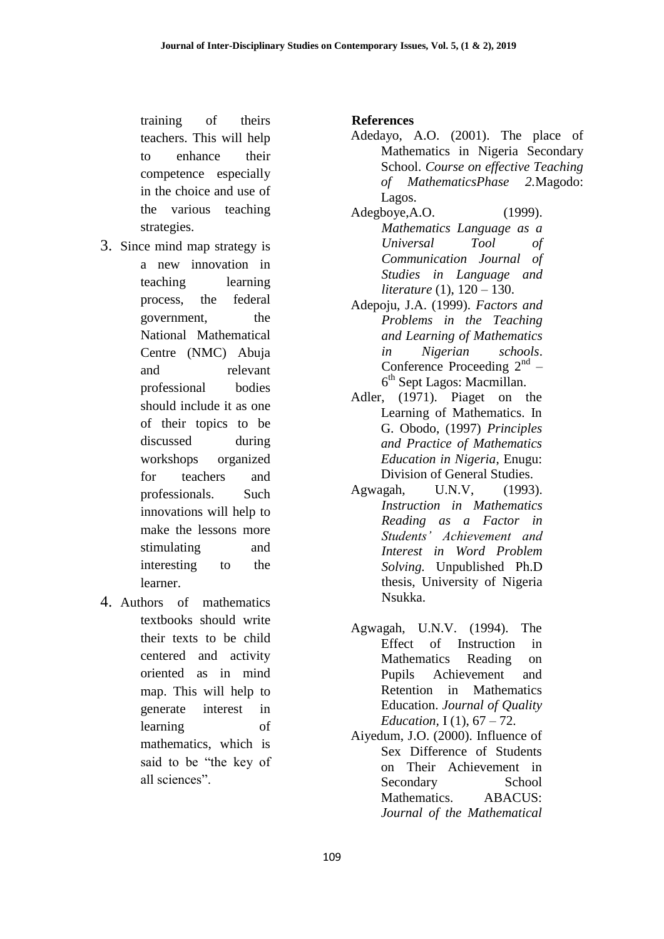training of theirs teachers. This will help to enhance their competence especially in the choice and use of the various teaching strategies.

- 3. Since mind map strategy is a new innovation in teaching learning process, the federal government, the National Mathematical Centre (NMC) Abuja and relevant professional bodies should include it as one of their topics to be discussed during workshops organized for teachers and professionals. Such innovations will help to make the lessons more stimulating and interesting to the learner.
- 4. Authors of mathematics textbooks should write their texts to be child centered and activity oriented as in mind map. This will help to generate interest in learning of mathematics, which is said to be "the key of all sciences".

## **References**

- Adedayo, A.O. (2001). The place of Mathematics in Nigeria Secondary School. *Course on effective Teaching of MathematicsPhase 2.*Magodo: Lagos.
- Adegboye,A.O. (1999). *Mathematics Language as a Universal Tool of Communication Journal of Studies in Language and literature* (1), 120 – 130.
- Adepoju, J.A. (1999). *Factors and Problems in the Teaching and Learning of Mathematics in Nigerian schools*. Conference Proceeding  $2<sup>nd</sup>$  – 6 th Sept Lagos: Macmillan.
- Adler, (1971). Piaget on the Learning of Mathematics. In G. Obodo, (1997) *Principles and Practice of Mathematics Education in Nigeria*, Enugu: Division of General Studies.
- Agwagah, U.N.V, (1993). *Instruction in Mathematics Reading as a Factor in Students' Achievement and Interest in Word Problem Solving.* Unpublished Ph.D thesis, University of Nigeria Nsukka.
- Agwagah, U.N.V. (1994). The Effect of Instruction in Mathematics Reading on Pupils Achievement and Retention in Mathematics Education. *Journal of Quality Education,* I (1), 67 – 72.
- Aiyedum, J.O. (2000). Influence of Sex Difference of Students on Their Achievement in Secondary School Mathematics. ABACUS: *Journal of the Mathematical*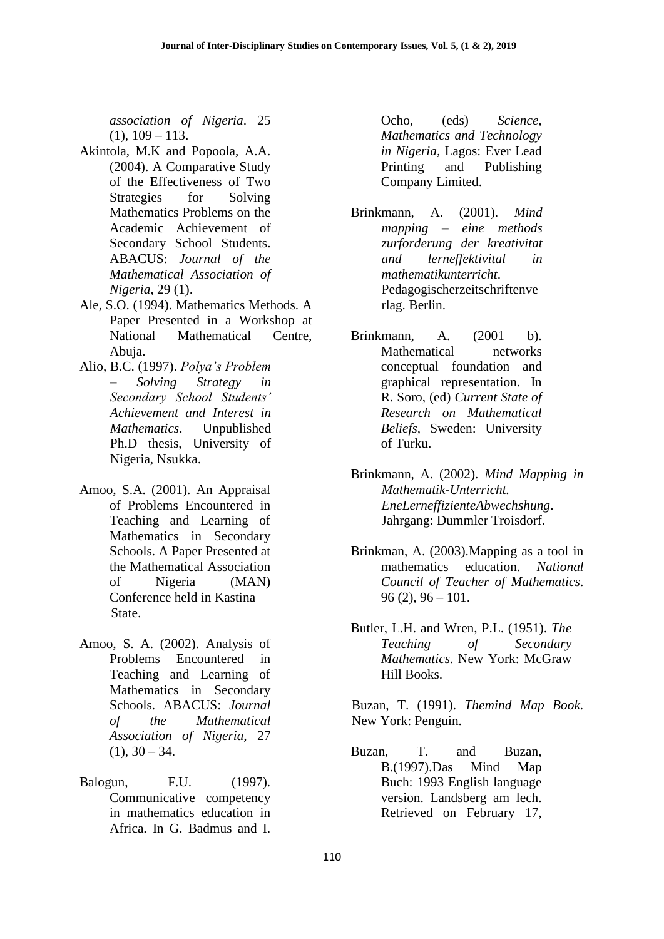*association of Nigeria*. 25  $(1), 109 - 113.$ 

- Akintola, M.K and Popoola, A.A. (2004). A Comparative Study of the Effectiveness of Two Strategies for Solving Mathematics Problems on the Academic Achievement of Secondary School Students. ABACUS: *Journal of the Mathematical Association of Nigeria*, 29 (1).
- Ale, S.O. (1994). Mathematics Methods. A Paper Presented in a Workshop at National Mathematical Centre, Abuja.
- Alio, B.C. (1997). *Polya's Problem – Solving Strategy in Secondary School Students' Achievement and Interest in Mathematics*. Unpublished Ph.D thesis, University of Nigeria, Nsukka.
- Amoo, S.A. (2001). An Appraisal of Problems Encountered in Teaching and Learning of Mathematics in Secondary Schools. A Paper Presented at the Mathematical Association of Nigeria (MAN) Conference held in Kastina State.
- Amoo, S. A. (2002). Analysis of Problems Encountered in Teaching and Learning of Mathematics in Secondary Schools. ABACUS: *Journal of the Mathematical Association of Nigeria,* 27  $(1), 30 - 34.$
- Balogun, F.U. (1997). Communicative competency in mathematics education in Africa. In G. Badmus and I.

Ocho, (eds) *Science, Mathematics and Technology in Nigeria,* Lagos: Ever Lead Printing and Publishing Company Limited.

- Brinkmann, A. (2001). *Mind mapping – eine methods zurforderung der kreativitat and lerneffektivital in mathematikunterricht*. Pedagogischerzeitschriftenve rlag. Berlin.
- Brinkmann, A. (2001 b). Mathematical networks conceptual foundation and graphical representation. In R. Soro, (ed) *Current State of Research on Mathematical Beliefs,* Sweden: University of Turku.
- Brinkmann, A. (2002). *Mind Mapping in Mathematik-Unterricht. EneLerneffizienteAbwechshung*. Jahrgang: Dummler Troisdorf.
- Brinkman, A. (2003).Mapping as a tool in mathematics education. *National Council of Teacher of Mathematics*.  $96(2)$ ,  $96 - 101$ .
- Butler, L.H. and Wren, P.L. (1951). *The Teaching of Secondary Mathematics*. New York: McGraw Hill Books.

Buzan, T. (1991). *Themind Map Book*. New York: Penguin.

Buzan, T. and Buzan, B.(1997).Das Mind Map Buch: 1993 English language version. Landsberg am lech. Retrieved on February 17,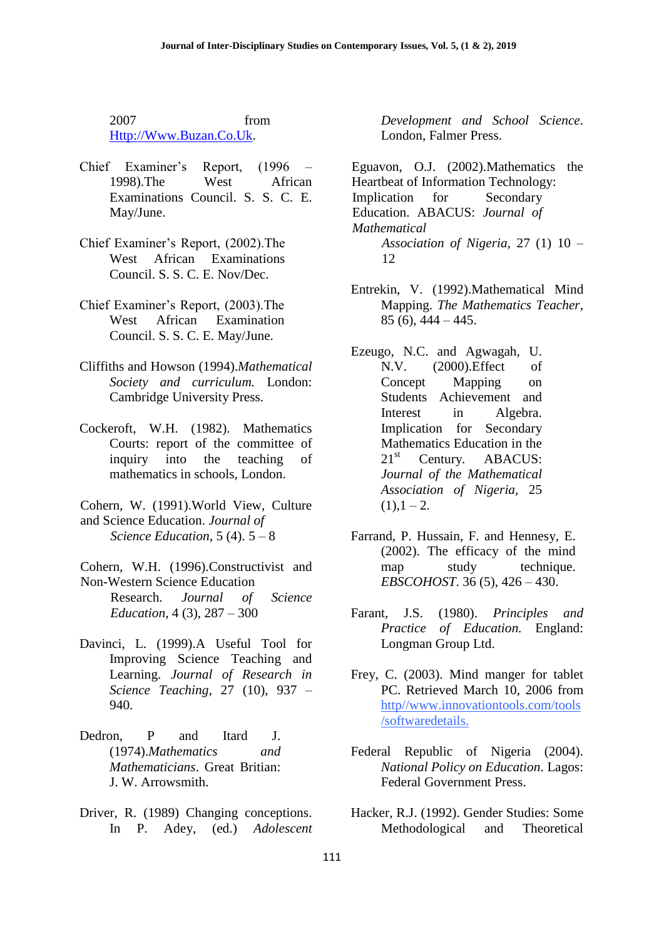2007 from Http://Www.Buzan.Co.Uk.

- Chief Examiner's Report, (1996 1998).The West African Examinations Council. S. S. C. E. May/June.
- Chief Examiner's Report, (2002).The West African Examinations Council. S. S. C. E. Nov/Dec.
- Chief Examiner's Report, (2003).The West African Examination Council. S. S. C. E. May/June.
- Cliffiths and Howson (1994).*Mathematical Society and curriculum.* London: Cambridge University Press.
- Cockeroft, W.H. (1982). Mathematics Courts: report of the committee of inquiry into the teaching of mathematics in schools, London.
- Cohern, W. (1991).World View, Culture and Science Education. *Journal of Science Education*, 5 (4). 5 – 8
- Cohern, W.H. (1996).Constructivist and Non-Western Science Education
	- Research. *Journal of Science Education*, 4 (3), 287 – 300
- Davinci, L. (1999).A Useful Tool for Improving Science Teaching and Learning. *Journal of Research in Science Teaching*, 27 (10), 937 – 940.
- Dedron, P and Itard J. (1974).*Mathematics and Mathematicians*. Great Britian: J. W. Arrowsmith.
- Driver, R. (1989) Changing conceptions. In P. Adey, (ed.) *Adolescent*

*Development and School Science*. London, Falmer Press.

Eguavon, O.J. (2002).Mathematics the Heartbeat of Information Technology: Implication for Secondary Education. ABACUS: *Journal of Mathematical Association of Nigeria,* 27 (1) 10 – 12

- Entrekin, V. (1992).Mathematical Mind Mapping. *The Mathematics Teacher*, 85 (6), 444 – 445.
- Ezeugo, N.C. and Agwagah, U. N.V. (2000).Effect of Concept Mapping on Students Achievement and Interest in Algebra. Implication for Secondary Mathematics Education in the 21<sup>st</sup> Century. ABACUS: *Journal of the Mathematical Association of Nigeria,* 25  $(1), 1 - 2.$
- Farrand, P. Hussain, F. and Hennesy, E. (2002). The efficacy of the mind map study technique. *EBSCOHOST*. 36 (5), 426 – 430.
- Farant, J.S. (1980). *Principles and Practice of Education.* England: Longman Group Ltd.
- Frey, C. (2003). Mind manger for tablet PC. Retrieved March 10, 2006 from http//www.innovationtools.com/tools /softwaredetails.
- Federal Republic of Nigeria (2004). *National Policy on Education*. Lagos: Federal Government Press.
- Hacker, R.J. (1992). Gender Studies: Some Methodological and Theoretical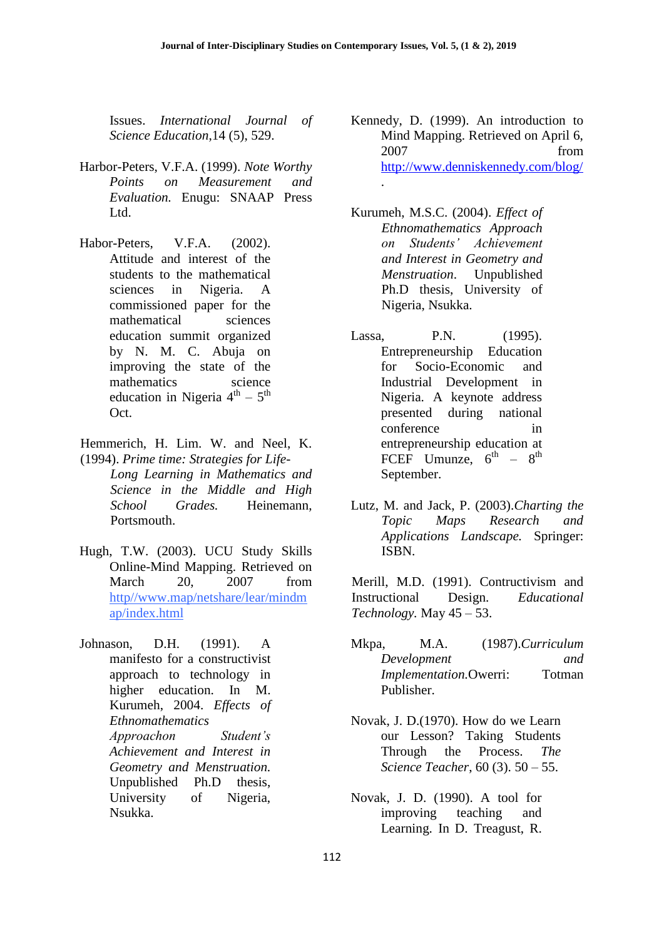[.](http://www.denniskennedy.com/blog/)

Issues. *International Journal of Science Education*,14 (5), 529.

- Harbor-Peters, V.F.A. (1999). *Note Worthy Points on Measurement and Evaluation.* Enugu: SNAAP Press Ltd.
- Habor-Peters, V.F.A. (2002). Attitude and interest of the students to the mathematical sciences in Nigeria. A commissioned paper for the mathematical sciences education summit organized by N. M. C. Abuja on improving the state of the mathematics science education in Nigeria  $4<sup>th</sup> - 5<sup>th</sup>$ Oct.
- Hemmerich, H. Lim. W. and Neel, K. (1994). *Prime time: Strategies for Life-Long Learning in Mathematics and Science in the Middle and High School Grades.* Heinemann, Portsmouth.
- Hugh, T.W. (2003). UCU Study Skills Online-Mind Mapping. Retrieved on March 20, 2007 from http//www.map/netshare/lear/mindm ap/index.html
- Johnason, D.H. (1991). A manifesto for a constructivist approach to technology in higher education. In M. Kurumeh, 2004. *Effects of Ethnomathematics Approachon Student's Achievement and Interest in Geometry and Menstruation.* Unpublished Ph.D thesis, University of Nigeria, Nsukka.
- Kennedy, D. (1999). An introduction to Mind Mapping. Retrieved on April 6, 2007 from <http://www.denniskennedy.com/blog/>
- Kurumeh, M.S.C. (2004). *Effect of Ethnomathematics Approach on Students' Achievement and Interest in Geometry and Menstruation*. Unpublished Ph.D thesis, University of Nigeria, Nsukka.
- Lassa, P.N. (1995). Entrepreneurship Education for Socio-Economic and Industrial Development in Nigeria. A keynote address presented during national conference in entrepreneurship education at FCEF Umunze,  $6^{\text{th}} - 8^{\text{th}}$ September.
- Lutz, M. and Jack, P. (2003).*Charting the Topic Maps Research and Applications Landscape.* Springer: ISBN.

Merill, M.D. (1991). Contructivism and Instructional Design*. Educational Technology.* May 45 – 53.

- Mkpa, M.A. (1987).*Curriculum Development and Implementation.*Owerri: Totman Publisher.
- Novak, J. D.(1970). How do we Learn our Lesson? Taking Students Through the Process. *The Science Teacher*, 60 (3). 50 – 55.
- Novak, J. D. (1990). A tool for improving teaching and Learning. In D. Treagust, R.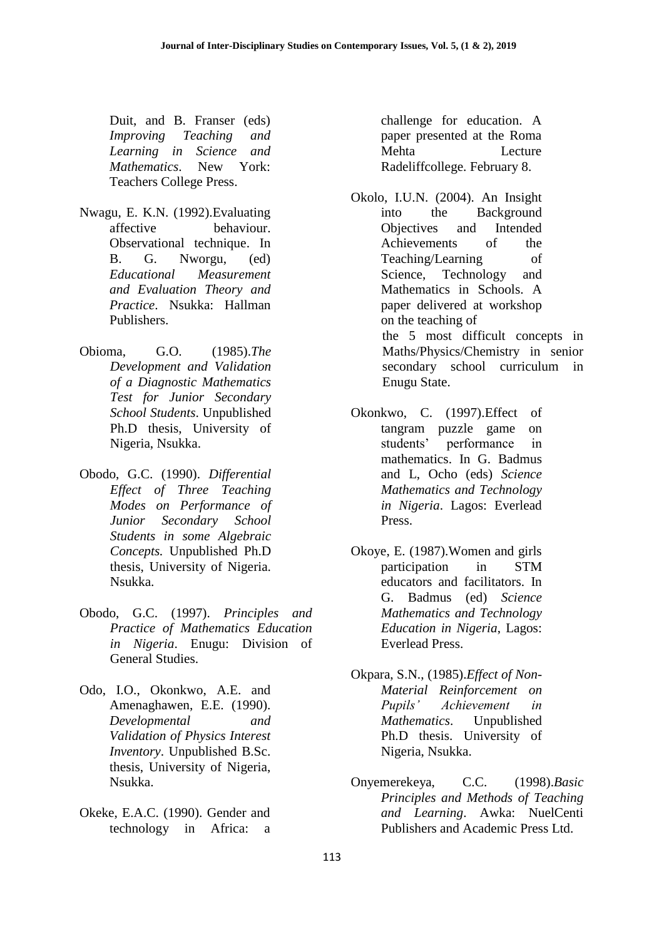Duit, and B. Franser (eds) *Improving Teaching and Learning in Science and Mathematics*. New York: Teachers College Press.

- Nwagu, E. K.N. (1992).Evaluating affective behaviour. Observational technique. In B. G. Nworgu, (ed) *Educational Measurement and Evaluation Theory and Practice*. Nsukka: Hallman Publishers.
- Obioma, G.O. (1985).*The Development and Validation of a Diagnostic Mathematics Test for Junior Secondary School Students*. Unpublished Ph.D thesis, University of Nigeria, Nsukka.
- Obodo, G.C. (1990). *Differential Effect of Three Teaching Modes on Performance of Junior Secondary School Students in some Algebraic Concepts.* Unpublished Ph.D thesis, University of Nigeria. Nsukka.
- Obodo, G.C. (1997). *Principles and Practice of Mathematics Education in Nigeria*. Enugu: Division of General Studies.
- Odo, I.O., Okonkwo, A.E. and Amenaghawen, E.E. (1990). *Developmental and Validation of Physics Interest Inventory*. Unpublished B.Sc. thesis, University of Nigeria, Nsukka.
- Okeke, E.A.C. (1990). Gender and technology in Africa: a

challenge for education. A paper presented at the Roma Mehta Lecture Radeliffcollege. February 8.

- Okolo, I.U.N. (2004). An Insight into the Background Objectives and Intended Achievements of the Teaching/Learning of Science, Technology and Mathematics in Schools. A paper delivered at workshop on the teaching of the 5 most difficult concepts in Maths/Physics/Chemistry in senior secondary school curriculum in Enugu State.
- Okonkwo, C. (1997).Effect of tangram puzzle game on students' performance in mathematics. In G. Badmus and L, Ocho (eds) *Science Mathematics and Technology in Nigeria*. Lagos: Everlead Press.
- Okoye, E. (1987).Women and girls participation in STM educators and facilitators. In G. Badmus (ed) *Science Mathematics and Technology Education in Nigeria*, Lagos: Everlead Press.
- Okpara, S.N., (1985).*Effect of Non-Material Reinforcement on Pupils' Achievement in Mathematics*. Unpublished Ph.D thesis. University of Nigeria, Nsukka.
- Onyemerekeya, C.C. (1998).*Basic Principles and Methods of Teaching and Learning*. Awka: NuelCenti Publishers and Academic Press Ltd.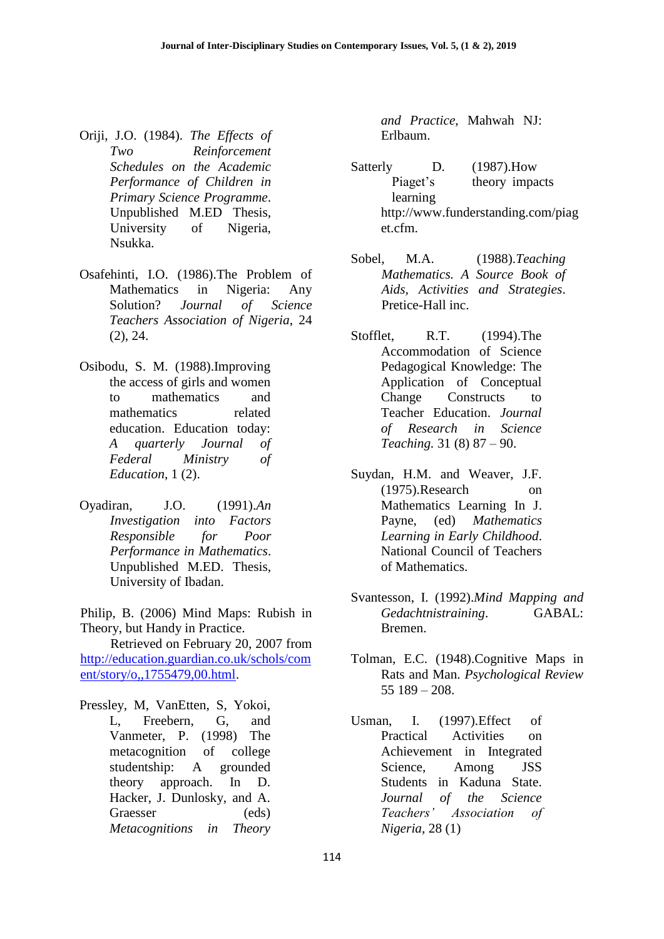- Oriji, J.O. (1984). *The Effects of Two Reinforcement Schedules on the Academic Performance of Children in Primary Science Programme*. Unpublished M.ED Thesis, University of Nigeria, Nsukka.
- Osafehinti, I.O. (1986).The Problem of Mathematics in Nigeria: Any Solution? *Journal of Science Teachers Association of Nigeria*, 24 (2), 24.
- Osibodu, S. M. (1988).Improving the access of girls and women to mathematics and mathematics related education. Education today: *A quarterly Journal of Federal Ministry of Education*, 1 (2).
- Oyadiran, J.O. (1991).*An Investigation into Factors Responsible for Poor Performance in Mathematics*. Unpublished M.ED. Thesis, University of Ibadan.

Philip, B. (2006) Mind Maps: Rubish in Theory, but Handy in Practice.

Retrieved on February 20, 2007 from [http://education.guardian.co.uk/schols/com](http://education.guardian.co.uk/schols/coment/story/o,,1755479,00.html) [ent/story/o,,1755479,00.html.](http://education.guardian.co.uk/schols/coment/story/o,,1755479,00.html)

Pressley, M, VanEtten, S, Yokoi, L, Freebern, G, and Vanmeter, P. (1998) The metacognition of college studentship: A grounded theory approach. In D. Hacker, J. Dunlosky, and A. Graesser (eds) *Metacognitions in Theory* 

*and Practice*, Mahwah NJ: Erlbaum.

- Satterly D. (1987). How Piaget's theory impacts learning http://www.funderstanding.com/piag et.cfm.
- Sobel, M.A. (1988).*Teaching Mathematics. A Source Book of Aids, Activities and Strategies*. Pretice-Hall inc.
- Stofflet, R.T. (1994).The Accommodation of Science Pedagogical Knowledge: The Application of Conceptual Change Constructs to Teacher Education. *Journal of Research in Science Teaching.* 31 (8) 87 – 90.
- Suydan, H.M. and Weaver, J.F. (1975).Research on Mathematics Learning In J. Payne, (ed) *Mathematics Learning in Early Childhood*. National Council of Teachers of Mathematics.
- Svantesson, I. (1992).*Mind Mapping and Gedachtnistraining*. GABAL: Bremen.
- Tolman, E.C. (1948).Cognitive Maps in Rats and Man. *Psychological Review* 55 189 – 208.
- Usman, I. (1997).Effect of Practical Activities on Achievement in Integrated Science, Among JSS Students in Kaduna State. *Journal of the Science Teachers' Association of Nigeria*, 28 (1)